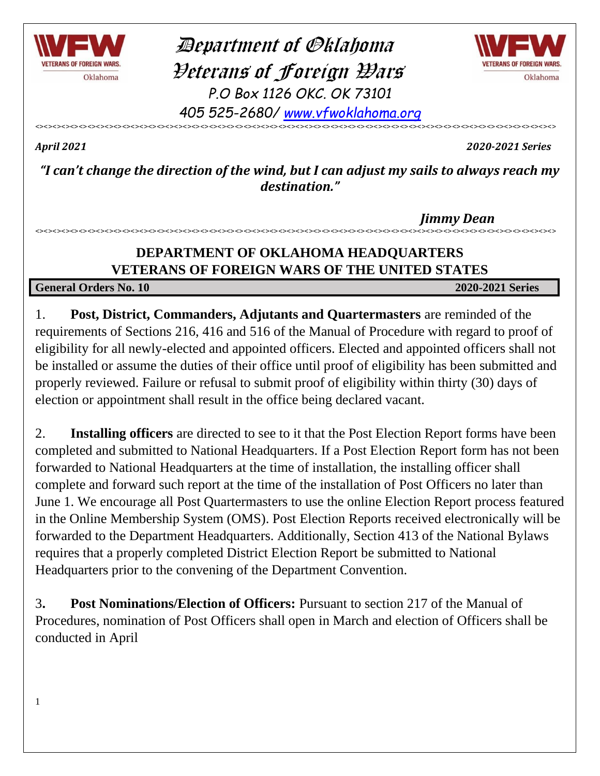

 Department of Oklahoma Veterans of Foreign Wars *P.O Box 1126 OKC. OK 73101*



*405 525-2680/ [www.vfwoklahoma.org](http://www.vfwoklahoma.org/)* <><><><><><><><><><><><><><><><><><><><><><><><><><><><><><><><><><><><><><><><><><><><><><><><><><><><><><><><><><><><>

1

*April 2021 2020-2021 Series*

*"I can't change the direction of the wind, but I can adjust my sails to always reach my destination."*

 *Jimmy Dean*

## **DEPARTMENT OF OKLAHOMA HEADQUARTERS VETERANS OF FOREIGN WARS OF THE UNITED STATES**

<><><><><><><><><><><><><><><><><><><><><><><><><><><><><><><><><><><><><><><><><><><><><><><><><><><><><><><><><><><><>

### **General Orders No. 10 2020-2021 Series**

1. **Post, District, Commanders, Adjutants and Quartermasters** are reminded of the requirements of Sections 216, 416 and 516 of the Manual of Procedure with regard to proof of eligibility for all newly-elected and appointed officers. Elected and appointed officers shall not be installed or assume the duties of their office until proof of eligibility has been submitted and properly reviewed. Failure or refusal to submit proof of eligibility within thirty (30) days of election or appointment shall result in the office being declared vacant.

2. **Installing officers** are directed to see to it that the Post Election Report forms have been completed and submitted to National Headquarters. If a Post Election Report form has not been forwarded to National Headquarters at the time of installation, the installing officer shall complete and forward such report at the time of the installation of Post Officers no later than June 1. We encourage all Post Quartermasters to use the online Election Report process featured in the Online Membership System (OMS). Post Election Reports received electronically will be forwarded to the Department Headquarters. Additionally, Section 413 of the National Bylaws requires that a properly completed District Election Report be submitted to National Headquarters prior to the convening of the Department Convention.

3**. Post Nominations/Election of Officers:** Pursuant to section 217 of the Manual of Procedures, nomination of Post Officers shall open in March and election of Officers shall be conducted in April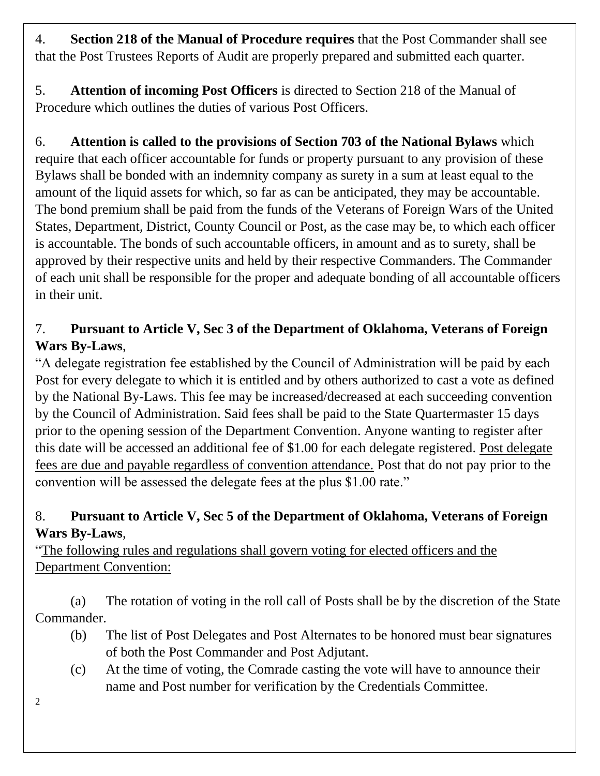4. **Section 218 of the Manual of Procedure requires** that the Post Commander shall see that the Post Trustees Reports of Audit are properly prepared and submitted each quarter.

5. **Attention of incoming Post Officers** is directed to Section 218 of the Manual of Procedure which outlines the duties of various Post Officers.

6. **Attention is called to the provisions of Section 703 of the National Bylaws** which require that each officer accountable for funds or property pursuant to any provision of these Bylaws shall be bonded with an indemnity company as surety in a sum at least equal to the amount of the liquid assets for which, so far as can be anticipated, they may be accountable. The bond premium shall be paid from the funds of the Veterans of Foreign Wars of the United States, Department, District, County Council or Post, as the case may be, to which each officer is accountable. The bonds of such accountable officers, in amount and as to surety, shall be approved by their respective units and held by their respective Commanders. The Commander of each unit shall be responsible for the proper and adequate bonding of all accountable officers in their unit.

## 7. **Pursuant to Article V, Sec 3 of the Department of Oklahoma, Veterans of Foreign Wars By-Laws**,

"A delegate registration fee established by the Council of Administration will be paid by each Post for every delegate to which it is entitled and by others authorized to cast a vote as defined by the National By-Laws. This fee may be increased/decreased at each succeeding convention by the Council of Administration. Said fees shall be paid to the State Quartermaster 15 days prior to the opening session of the Department Convention. Anyone wanting to register after this date will be accessed an additional fee of \$1.00 for each delegate registered. Post delegate fees are due and payable regardless of convention attendance. Post that do not pay prior to the convention will be assessed the delegate fees at the plus \$1.00 rate."

## 8. **Pursuant to Article V, Sec 5 of the Department of Oklahoma, Veterans of Foreign Wars By-Laws**,

"The following rules and regulations shall govern voting for elected officers and the Department Convention:

(a) The rotation of voting in the roll call of Posts shall be by the discretion of the State Commander.

- (b) The list of Post Delegates and Post Alternates to be honored must bear signatures of both the Post Commander and Post Adjutant.
- (c) At the time of voting, the Comrade casting the vote will have to announce their name and Post number for verification by the Credentials Committee.
- 2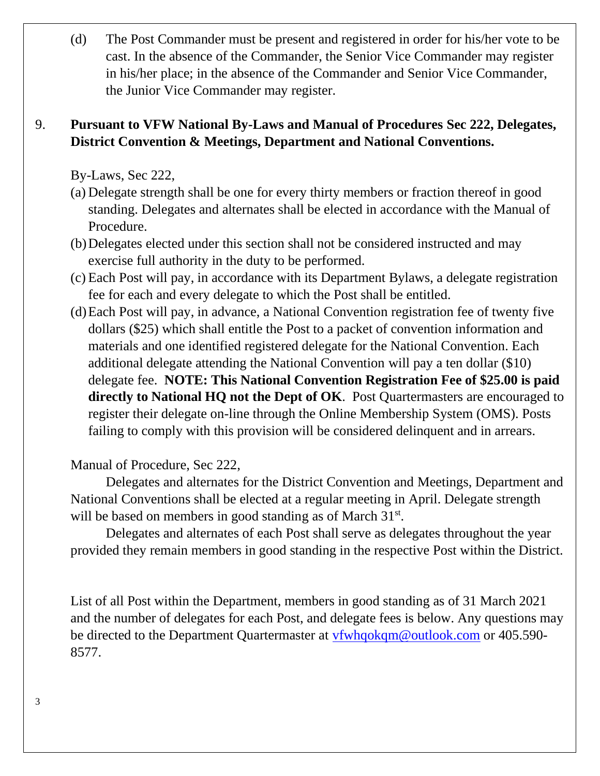(d) The Post Commander must be present and registered in order for his/her vote to be cast. In the absence of the Commander, the Senior Vice Commander may register in his/her place; in the absence of the Commander and Senior Vice Commander, the Junior Vice Commander may register.

## 9. **Pursuant to VFW National By-Laws and Manual of Procedures Sec 222, Delegates, District Convention & Meetings, Department and National Conventions.**

By-Laws, Sec 222,

- (a) Delegate strength shall be one for every thirty members or fraction thereof in good standing. Delegates and alternates shall be elected in accordance with the Manual of Procedure.
- (b)Delegates elected under this section shall not be considered instructed and may exercise full authority in the duty to be performed.
- (c) Each Post will pay, in accordance with its Department Bylaws, a delegate registration fee for each and every delegate to which the Post shall be entitled.
- (d)Each Post will pay, in advance, a National Convention registration fee of twenty five dollars (\$25) which shall entitle the Post to a packet of convention information and materials and one identified registered delegate for the National Convention. Each additional delegate attending the National Convention will pay a ten dollar (\$10) delegate fee. **NOTE: This National Convention Registration Fee of \$25.00 is paid directly to National HQ not the Dept of OK**. Post Quartermasters are encouraged to register their delegate on-line through the Online Membership System (OMS). Posts failing to comply with this provision will be considered delinquent and in arrears.

Manual of Procedure, Sec 222,

Delegates and alternates for the District Convention and Meetings, Department and National Conventions shall be elected at a regular meeting in April. Delegate strength will be based on members in good standing as of March 31<sup>st</sup>.

Delegates and alternates of each Post shall serve as delegates throughout the year provided they remain members in good standing in the respective Post within the District.

List of all Post within the Department, members in good standing as of 31 March 2021 and the number of delegates for each Post, and delegate fees is below. Any questions may be directed to the Department Quartermaster at [vfwhqokqm@outlook.com](mailto:vfwhqokqm@outlook.com) or 405.590- 8577.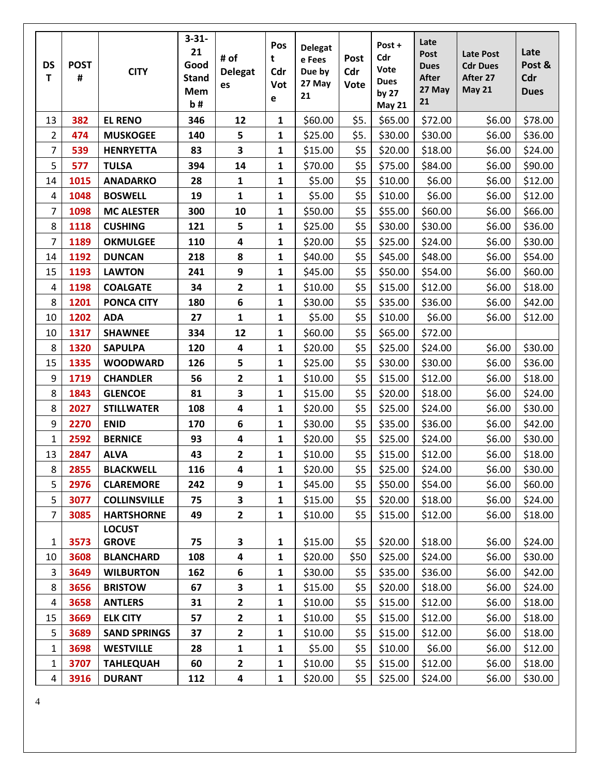| <b>DS</b><br>T | <b>POST</b><br># | <b>CITY</b>         | $3 - 31 -$<br>21<br>Good<br><b>Stand</b><br>Mem<br>b# | # of<br><b>Delegat</b><br>es | Pos<br>t<br>Cdr<br>Vot<br>e | <b>Delegat</b><br>e Fees<br>Due by<br>27 May<br>21 | Post<br>Cdr<br>Vote | Post +<br>Cdr<br>Vote<br><b>Dues</b><br>by $27$<br><b>May 21</b> | Late<br>Post<br><b>Dues</b><br><b>After</b><br>27 May<br>21 | <b>Late Post</b><br><b>Cdr Dues</b><br>After 27<br><b>May 21</b> | Late<br>Post &<br>Cdr<br><b>Dues</b> |
|----------------|------------------|---------------------|-------------------------------------------------------|------------------------------|-----------------------------|----------------------------------------------------|---------------------|------------------------------------------------------------------|-------------------------------------------------------------|------------------------------------------------------------------|--------------------------------------|
| 13             | 382              | <b>EL RENO</b>      | 346                                                   | 12                           | $\mathbf{1}$                | \$60.00                                            | \$5.                | \$65.00                                                          | \$72.00                                                     | \$6.00                                                           | \$78.00                              |
| $\overline{2}$ | 474              | <b>MUSKOGEE</b>     | 140                                                   | 5                            | $\mathbf{1}$                | \$25.00                                            | \$5.                | \$30.00                                                          | \$30.00                                                     | \$6.00                                                           | \$36.00                              |
| $\overline{7}$ | 539              | <b>HENRYETTA</b>    | 83                                                    | $\overline{\mathbf{3}}$      | $\mathbf{1}$                | \$15.00                                            | \$5                 | \$20.00                                                          | \$18.00                                                     | \$6.00                                                           | \$24.00                              |
| 5              | 577              | <b>TULSA</b>        | 394                                                   | 14                           | $\mathbf{1}$                | \$70.00                                            | \$5                 | \$75.00                                                          | \$84.00                                                     | \$6.00                                                           | \$90.00                              |
| 14             | 1015             | <b>ANADARKO</b>     | 28                                                    | 1                            | $\mathbf{1}$                | \$5.00                                             | \$5                 | \$10.00                                                          | \$6.00                                                      | \$6.00                                                           | \$12.00                              |
| $\overline{4}$ | 1048             | <b>BOSWELL</b>      | 19                                                    | $\mathbf{1}$                 | $\mathbf{1}$                | \$5.00                                             | \$5                 | \$10.00                                                          | \$6.00                                                      | \$6.00                                                           | \$12.00                              |
| 7              | 1098             | <b>MC ALESTER</b>   | 300                                                   | 10                           | $\mathbf{1}$                | \$50.00                                            | \$5                 | \$55.00                                                          | \$60.00                                                     | \$6.00                                                           | \$66.00                              |
| 8              | 1118             | <b>CUSHING</b>      | 121                                                   | 5                            | $\mathbf{1}$                | \$25.00                                            | \$5                 | \$30.00                                                          | \$30.00                                                     | \$6.00                                                           | \$36.00                              |
| 7              | 1189             | <b>OKMULGEE</b>     | 110                                                   | $\overline{\mathbf{4}}$      | $\mathbf{1}$                | \$20.00                                            | \$5                 | \$25.00                                                          | \$24.00                                                     | \$6.00                                                           | \$30.00                              |
| 14             | 1192             | <b>DUNCAN</b>       | 218                                                   | 8                            | $\mathbf{1}$                | \$40.00                                            | \$5                 | \$45.00                                                          | \$48.00                                                     | \$6.00                                                           | \$54.00                              |
| 15             | 1193             | <b>LAWTON</b>       | 241                                                   | $\boldsymbol{9}$             | $\mathbf{1}$                | \$45.00                                            | \$5                 | \$50.00                                                          | \$54.00                                                     | \$6.00                                                           | \$60.00                              |
| 4              | 1198             | <b>COALGATE</b>     | 34                                                    | $\overline{\mathbf{c}}$      | $\mathbf{1}$                | \$10.00                                            | \$5                 | \$15.00                                                          | \$12.00                                                     | \$6.00                                                           | \$18.00                              |
| 8              | 1201             | <b>PONCA CITY</b>   | 180                                                   | $6\phantom{1}6$              | $\mathbf{1}$                | \$30.00                                            | \$5                 | \$35.00                                                          | \$36.00                                                     | \$6.00                                                           | \$42.00                              |
| 10             | 1202             | <b>ADA</b>          | 27                                                    | $\mathbf{1}$                 | $\mathbf{1}$                | \$5.00                                             | \$5                 | \$10.00                                                          | \$6.00                                                      | \$6.00                                                           | \$12.00                              |
| 10             | 1317             | <b>SHAWNEE</b>      | 334                                                   | 12                           | $\mathbf{1}$                | \$60.00                                            | \$5                 | \$65.00                                                          | \$72.00                                                     |                                                                  |                                      |
| 8              | 1320             | <b>SAPULPA</b>      | 120                                                   | $\overline{\mathbf{4}}$      | $\mathbf{1}$                | \$20.00                                            | \$5                 | \$25.00                                                          | \$24.00                                                     | \$6.00                                                           | \$30.00                              |
| 15             | 1335             | <b>WOODWARD</b>     | 126                                                   | 5                            | $\mathbf{1}$                | \$25.00                                            | \$5                 | \$30.00                                                          | \$30.00                                                     | \$6.00                                                           | \$36.00                              |
| 9              | 1719             | <b>CHANDLER</b>     | 56                                                    | 2                            | $\mathbf{1}$                | \$10.00                                            | \$5                 | \$15.00                                                          | \$12.00                                                     | \$6.00                                                           | \$18.00                              |
| 8              | 1843             | <b>GLENCOE</b>      | 81                                                    | 3                            | $\mathbf{1}$                | \$15.00                                            | \$5                 | \$20.00                                                          | \$18.00                                                     | \$6.00                                                           | \$24.00                              |
| 8              | 2027             | <b>STILLWATER</b>   | 108                                                   | 4                            | $\mathbf{1}$                | \$20.00                                            | \$5                 | \$25.00                                                          | \$24.00                                                     | \$6.00                                                           | \$30.00                              |
| 9              | 2270             | <b>ENID</b>         | 170                                                   | $\boldsymbol{6}$             | $\mathbf{1}$                | \$30.00                                            | \$5                 | \$35.00                                                          | \$36.00                                                     | \$6.00                                                           | \$42.00                              |
| 1              | 2592             | <b>BERNICE</b>      | 93                                                    | $\overline{\mathbf{4}}$      | $\mathbf{1}$                | \$20.00                                            | \$5                 | \$25.00                                                          | \$24.00                                                     | \$6.00                                                           | \$30.00                              |
| 13             | 2847             | <b>ALVA</b>         | 43                                                    | 2                            | $\mathbf{1}$                | \$10.00                                            | \$5                 | \$15.00                                                          | \$12.00                                                     | \$6.00                                                           | \$18.00                              |
| 8              | 2855             | <b>BLACKWELL</b>    | 116                                                   | 4                            | 1                           | \$20.00                                            | \$5                 | \$25.00                                                          | \$24.00                                                     | \$6.00                                                           | \$30.00                              |
| 5              | 2976             | <b>CLAREMORE</b>    | 242                                                   | 9                            | $\mathbf{1}$                | \$45.00                                            | \$5                 | \$50.00                                                          | \$54.00                                                     | \$6.00                                                           | \$60.00                              |
| 5              | 3077             | <b>COLLINSVILLE</b> | 75                                                    | 3                            | 1                           | \$15.00                                            | \$5                 | \$20.00                                                          | \$18.00                                                     | \$6.00                                                           | \$24.00                              |
| $\overline{7}$ | 3085             | <b>HARTSHORNE</b>   | 49                                                    | $\overline{2}$               | $\mathbf{1}$                | \$10.00                                            | \$5                 | \$15.00                                                          | \$12.00                                                     | \$6.00                                                           | \$18.00                              |
|                |                  | <b>LOCUST</b>       |                                                       |                              |                             |                                                    |                     |                                                                  |                                                             |                                                                  |                                      |
| $\mathbf{1}$   | 3573             | <b>GROVE</b>        | 75                                                    | 3                            | 1                           | \$15.00                                            | \$5                 | \$20.00                                                          | \$18.00                                                     | \$6.00                                                           | \$24.00                              |
| 10             | 3608             | <b>BLANCHARD</b>    | 108                                                   | 4                            | 1                           | \$20.00                                            | \$50                | \$25.00                                                          | \$24.00                                                     | \$6.00                                                           | \$30.00                              |
| 3              | 3649             | <b>WILBURTON</b>    | 162                                                   | 6                            | $\mathbf{1}$                | \$30.00                                            | \$5                 | \$35.00                                                          | \$36.00                                                     | \$6.00                                                           | \$42.00                              |
| 8              | 3656             | <b>BRISTOW</b>      | 67                                                    | 3                            | 1                           | \$15.00                                            | \$5                 | \$20.00                                                          | \$18.00                                                     | \$6.00                                                           | \$24.00                              |
| $\overline{4}$ | 3658             | <b>ANTLERS</b>      | 31                                                    | 2                            | $\mathbf{1}$                | \$10.00                                            | \$5                 | \$15.00                                                          | \$12.00                                                     | \$6.00                                                           | \$18.00                              |
| 15             | 3669             | <b>ELK CITY</b>     | 57                                                    | 2                            | $\mathbf{1}$                | \$10.00                                            | \$5                 | \$15.00                                                          | \$12.00                                                     | \$6.00                                                           | \$18.00                              |
| 5              | 3689             | <b>SAND SPRINGS</b> | 37                                                    | $\overline{2}$               | $\mathbf{1}$                | \$10.00                                            | \$5                 | \$15.00                                                          | \$12.00                                                     | \$6.00                                                           | \$18.00                              |
| $\mathbf{1}$   | 3698             | <b>WESTVILLE</b>    | 28                                                    | 1                            | 1                           | \$5.00                                             | \$5                 | \$10.00                                                          | \$6.00                                                      | \$6.00                                                           | \$12.00                              |
| 1              | 3707             | <b>TAHLEQUAH</b>    | 60                                                    | 2                            | $\mathbf{1}$                | \$10.00                                            | \$5                 | \$15.00                                                          | \$12.00                                                     | \$6.00                                                           | \$18.00                              |
| $\overline{4}$ | 3916             | <b>DURANT</b>       | 112                                                   | 4                            | $\mathbf{1}$                | \$20.00                                            | \$5                 | \$25.00                                                          | \$24.00                                                     | \$6.00                                                           | \$30.00                              |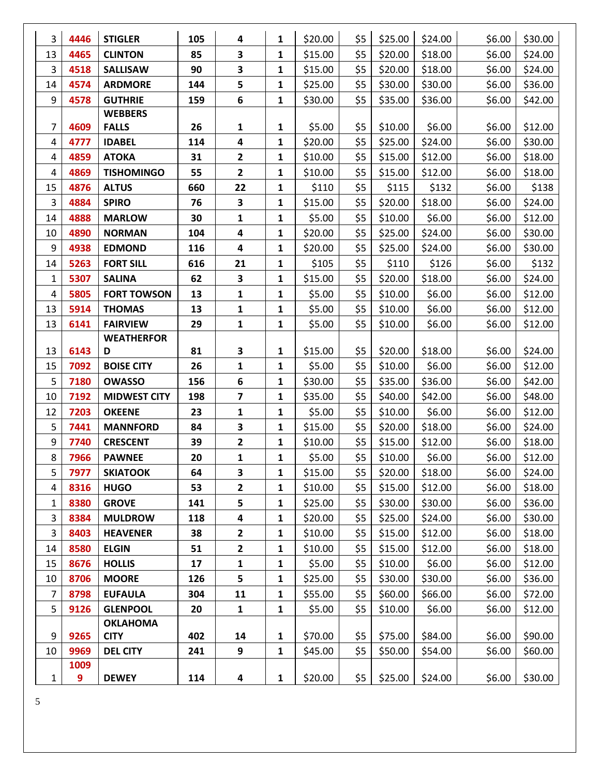| 3              | 4446 | <b>STIGLER</b>      | 105 | 4              | 1            | \$20.00 | \$5 | \$25.00 | \$24.00 | \$6.00 | \$30.00 |
|----------------|------|---------------------|-----|----------------|--------------|---------|-----|---------|---------|--------|---------|
| 13             | 4465 | <b>CLINTON</b>      | 85  | 3              | 1            | \$15.00 | \$5 | \$20.00 | \$18.00 | \$6.00 | \$24.00 |
| 3              | 4518 | <b>SALLISAW</b>     | 90  | 3              | $\mathbf{1}$ | \$15.00 | \$5 | \$20.00 | \$18.00 | \$6.00 | \$24.00 |
| 14             | 4574 | <b>ARDMORE</b>      | 144 | 5              | 1            | \$25.00 | \$5 | \$30.00 | \$30.00 | \$6.00 | \$36.00 |
| 9              | 4578 | <b>GUTHRIE</b>      | 159 | 6              | $\mathbf{1}$ | \$30.00 | \$5 | \$35.00 | \$36.00 | \$6.00 | \$42.00 |
|                |      | <b>WEBBERS</b>      |     |                |              |         |     |         |         |        |         |
| 7              | 4609 | <b>FALLS</b>        | 26  | 1              | 1            | \$5.00  | \$5 | \$10.00 | \$6.00  | \$6.00 | \$12.00 |
| 4              | 4777 | <b>IDABEL</b>       | 114 | 4              | $\mathbf{1}$ | \$20.00 | \$5 | \$25.00 | \$24.00 | \$6.00 | \$30.00 |
| 4              | 4859 | <b>ATOKA</b>        | 31  | $\mathbf{2}$   | 1            | \$10.00 | \$5 | \$15.00 | \$12.00 | \$6.00 | \$18.00 |
| 4              | 4869 | <b>TISHOMINGO</b>   | 55  | $\overline{2}$ | 1            | \$10.00 | \$5 | \$15.00 | \$12.00 | \$6.00 | \$18.00 |
| 15             | 4876 | <b>ALTUS</b>        | 660 | 22             | $\mathbf{1}$ | \$110   | \$5 | \$115   | \$132   | \$6.00 | \$138   |
| 3              | 4884 | <b>SPIRO</b>        | 76  | 3              | 1            | \$15.00 | \$5 | \$20.00 | \$18.00 | \$6.00 | \$24.00 |
| 14             | 4888 | <b>MARLOW</b>       | 30  | 1              | $\mathbf{1}$ | \$5.00  | \$5 | \$10.00 | \$6.00  | \$6.00 | \$12.00 |
| 10             | 4890 | <b>NORMAN</b>       | 104 | 4              | 1            | \$20.00 | \$5 | \$25.00 | \$24.00 | \$6.00 | \$30.00 |
| 9              | 4938 | <b>EDMOND</b>       | 116 | 4              | 1            | \$20.00 | \$5 | \$25.00 | \$24.00 | \$6.00 | \$30.00 |
| 14             | 5263 | <b>FORT SILL</b>    | 616 | 21             | $\mathbf{1}$ | \$105   | \$5 | \$110   | \$126   | \$6.00 | \$132   |
| 1              | 5307 | <b>SALINA</b>       | 62  | 3              | 1            | \$15.00 | \$5 | \$20.00 | \$18.00 | \$6.00 | \$24.00 |
| 4              | 5805 | <b>FORT TOWSON</b>  | 13  | 1              | $\mathbf{1}$ | \$5.00  | \$5 | \$10.00 | \$6.00  | \$6.00 | \$12.00 |
| 13             | 5914 | <b>THOMAS</b>       | 13  | $\mathbf{1}$   | $\mathbf{1}$ | \$5.00  | \$5 | \$10.00 | \$6.00  | \$6.00 | \$12.00 |
| 13             | 6141 | <b>FAIRVIEW</b>     | 29  | $\mathbf{1}$   | $\mathbf{1}$ | \$5.00  | \$5 | \$10.00 | \$6.00  | \$6.00 | \$12.00 |
|                |      | <b>WEATHERFOR</b>   |     |                |              |         |     |         |         |        |         |
| 13             | 6143 | D                   | 81  | 3              | 1            | \$15.00 | \$5 | \$20.00 | \$18.00 | \$6.00 | \$24.00 |
| 15             | 7092 | <b>BOISE CITY</b>   | 26  | 1              | 1            | \$5.00  | \$5 | \$10.00 | \$6.00  | \$6.00 | \$12.00 |
| 5              | 7180 | <b>OWASSO</b>       | 156 | 6              | $\mathbf{1}$ | \$30.00 | \$5 | \$35.00 | \$36.00 | \$6.00 | \$42.00 |
| 10             | 7192 | <b>MIDWEST CITY</b> | 198 | 7              | 1            | \$35.00 | \$5 | \$40.00 | \$42.00 | \$6.00 | \$48.00 |
| 12             | 7203 | <b>OKEENE</b>       | 23  | 1              | $\mathbf{1}$ | \$5.00  | \$5 | \$10.00 | \$6.00  | \$6.00 | \$12.00 |
| 5              | 7441 | <b>MANNFORD</b>     | 84  | 3              | 1            | \$15.00 | \$5 | \$20.00 | \$18.00 | \$6.00 | \$24.00 |
| 9              | 7740 | <b>CRESCENT</b>     | 39  | 2              | 1            | \$10.00 | \$5 | \$15.00 | \$12.00 | \$6.00 | \$18.00 |
| 8              | 7966 | <b>PAWNEE</b>       | 20  | $\mathbf{1}$   | 1            | \$5.00  | \$5 | \$10.00 | \$6.00  | \$6.00 | \$12.00 |
| 5              | 7977 | <b>SKIATOOK</b>     | 64  | 3              | 1            | \$15.00 | \$5 | \$20.00 | \$18.00 | \$6.00 | \$24.00 |
| 4              | 8316 | <b>HUGO</b>         | 53  | 2              | $\mathbf{1}$ | \$10.00 | \$5 | \$15.00 | \$12.00 | \$6.00 | \$18.00 |
| 1              | 8380 | <b>GROVE</b>        | 141 | 5              | 1            | \$25.00 | \$5 | \$30.00 | \$30.00 | \$6.00 | \$36.00 |
| 3              | 8384 | <b>MULDROW</b>      | 118 | 4              | $\mathbf{1}$ | \$20.00 | \$5 | \$25.00 | \$24.00 | \$6.00 | \$30.00 |
| 3              | 8403 | <b>HEAVENER</b>     | 38  | 2              | 1            | \$10.00 | \$5 | \$15.00 | \$12.00 | \$6.00 | \$18.00 |
| 14             | 8580 | <b>ELGIN</b>        | 51  | 2              | $\mathbf{1}$ | \$10.00 | \$5 | \$15.00 | \$12.00 | \$6.00 | \$18.00 |
| 15             | 8676 | <b>HOLLIS</b>       | 17  | 1              | $\mathbf{1}$ | \$5.00  | \$5 | \$10.00 | \$6.00  | \$6.00 | \$12.00 |
| 10             | 8706 | <b>MOORE</b>        | 126 | 5              | 1            | \$25.00 | \$5 | \$30.00 | \$30.00 | \$6.00 | \$36.00 |
| $\overline{7}$ | 8798 | <b>EUFAULA</b>      | 304 | 11             | $\mathbf{1}$ | \$55.00 | \$5 | \$60.00 | \$66.00 | \$6.00 | \$72.00 |
| 5              | 9126 | <b>GLENPOOL</b>     | 20  | $\mathbf{1}$   | $\mathbf{1}$ | \$5.00  | \$5 | \$10.00 | \$6.00  | \$6.00 | \$12.00 |
|                |      | <b>OKLAHOMA</b>     |     |                |              |         |     |         |         |        |         |
| 9              | 9265 | <b>CITY</b>         | 402 | 14             | $\mathbf{1}$ | \$70.00 | \$5 | \$75.00 | \$84.00 | \$6.00 | \$90.00 |
| 10             | 9969 | <b>DEL CITY</b>     | 241 | 9              | $\mathbf{1}$ | \$45.00 | \$5 | \$50.00 | \$54.00 | \$6.00 | \$60.00 |
|                | 1009 |                     |     |                |              |         |     |         |         |        |         |
| 1              | 9    | <b>DEWEY</b>        | 114 | 4              | $\mathbf{1}$ | \$20.00 | \$5 | \$25.00 | \$24.00 | \$6.00 | \$30.00 |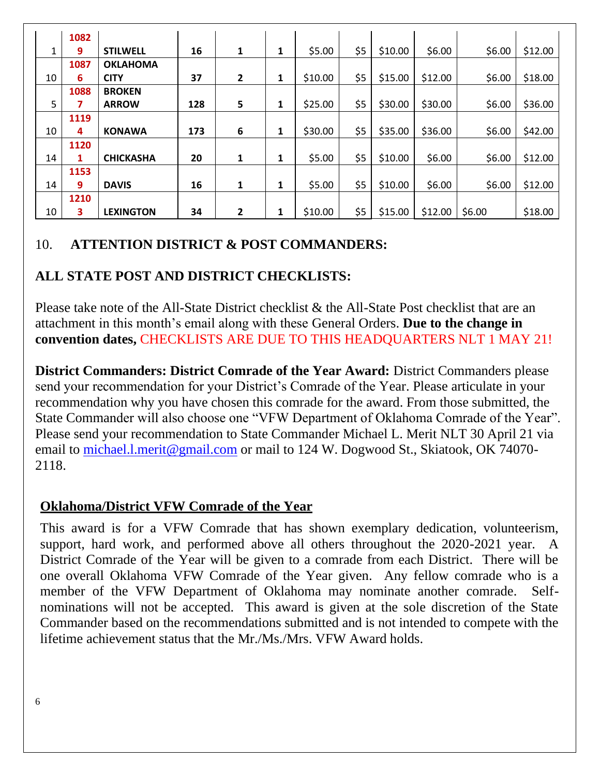|    | 1082 |                  |     |                         |   |         |     |         |         |        |         |
|----|------|------------------|-----|-------------------------|---|---------|-----|---------|---------|--------|---------|
| 1  | 9    | <b>STILWELL</b>  | 16  | 1                       | 1 | \$5.00  | \$5 | \$10.00 | \$6.00  | \$6.00 | \$12.00 |
|    | 1087 | <b>OKLAHOMA</b>  |     |                         |   |         |     |         |         |        |         |
| 10 | 6    | <b>CITY</b>      | 37  | $\overline{\mathbf{c}}$ | 1 | \$10.00 | \$5 | \$15.00 | \$12.00 | \$6.00 | \$18.00 |
|    | 1088 | <b>BROKEN</b>    |     |                         |   |         |     |         |         |        |         |
| 5  |      | <b>ARROW</b>     | 128 | 5                       | 1 | \$25.00 | \$5 | \$30.00 | \$30.00 | \$6.00 | \$36.00 |
|    | 1119 |                  |     |                         |   |         |     |         |         |        |         |
| 10 | 4    | <b>KONAWA</b>    | 173 | 6                       | 1 | \$30.00 | \$5 | \$35.00 | \$36.00 | \$6.00 | \$42.00 |
|    | 1120 |                  |     |                         |   |         |     |         |         |        |         |
| 14 | 1    | <b>CHICKASHA</b> | 20  | 1                       | 1 | \$5.00  | \$5 | \$10.00 | \$6.00  | \$6.00 | \$12.00 |
|    | 1153 |                  |     |                         |   |         |     |         |         |        |         |
| 14 | 9    | <b>DAVIS</b>     | 16  | 1                       | 1 | \$5.00  | \$5 | \$10.00 | \$6.00  | \$6.00 | \$12.00 |
|    | 1210 |                  |     |                         |   |         |     |         |         |        |         |
| 10 | 3    | <b>LEXINGTON</b> | 34  | 2                       | 1 | \$10.00 | \$5 | \$15.00 | \$12.00 | \$6.00 | \$18.00 |

## 10. **ATTENTION DISTRICT & POST COMMANDERS:**

## **ALL STATE POST AND DISTRICT CHECKLISTS:**

Please take note of the All-State District checklist & the All-State Post checklist that are an attachment in this month's email along with these General Orders. **Due to the change in convention dates,** CHECKLISTS ARE DUE TO THIS HEADQUARTERS NLT 1 MAY 21!

**District Commanders: District Comrade of the Year Award:** District Commanders please send your recommendation for your District's Comrade of the Year. Please articulate in your recommendation why you have chosen this comrade for the award. From those submitted, the State Commander will also choose one "VFW Department of Oklahoma Comrade of the Year". Please send your recommendation to State Commander Michael L. Merit NLT 30 April 21 via email to [michael.l.merit@gmail.com](mailto:michael.l.merit@gmail.com) or mail to 124 W. Dogwood St., Skiatook, OK 74070- 2118.

## **Oklahoma/District VFW Comrade of the Year**

This award is for a VFW Comrade that has shown exemplary dedication, volunteerism, support, hard work, and performed above all others throughout the 2020-2021 year. A District Comrade of the Year will be given to a comrade from each District. There will be one overall Oklahoma VFW Comrade of the Year given. Any fellow comrade who is a member of the VFW Department of Oklahoma may nominate another comrade. Selfnominations will not be accepted. This award is given at the sole discretion of the State Commander based on the recommendations submitted and is not intended to compete with the lifetime achievement status that the Mr./Ms./Mrs. VFW Award holds.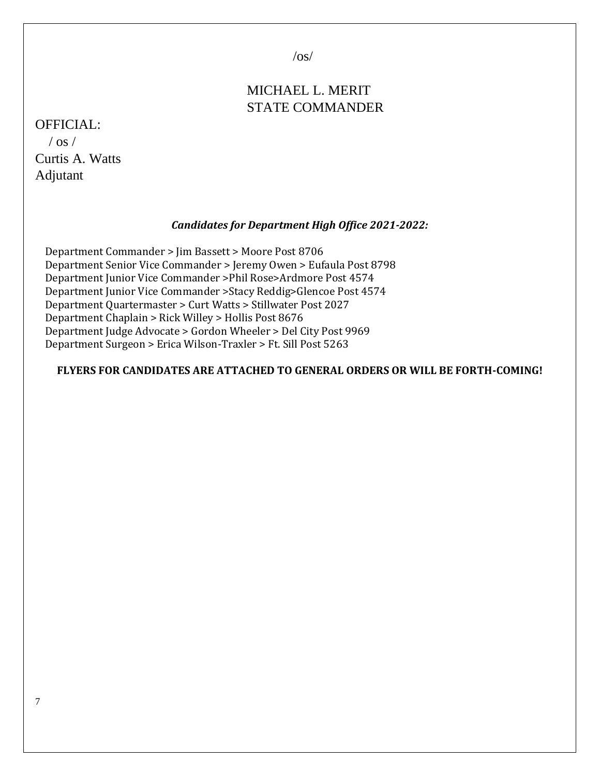$\sqrt{os}/$ 

## MICHAEL L. MERIT STATE COMMANDER

## OFFICIAL:  $\sqrt{$  os  $\sqrt{ }$ Curtis A. Watts

Adjutant

#### *Candidates for Department High Office 2021-2022:*

 Department Commander > Jim Bassett > Moore Post 8706 Department Senior Vice Commander > Jeremy Owen > Eufaula Post 8798 Department Junior Vice Commander >Phil Rose>Ardmore Post 4574 Department Junior Vice Commander >Stacy Reddig>Glencoe Post 4574 Department Quartermaster > Curt Watts > Stillwater Post 2027 Department Chaplain > Rick Willey > Hollis Post 8676 Department Judge Advocate > Gordon Wheeler > Del City Post 9969 Department Surgeon > Erica Wilson-Traxler > Ft. Sill Post 5263

#### **FLYERS FOR CANDIDATES ARE ATTACHED TO GENERAL ORDERS OR WILL BE FORTH-COMING!**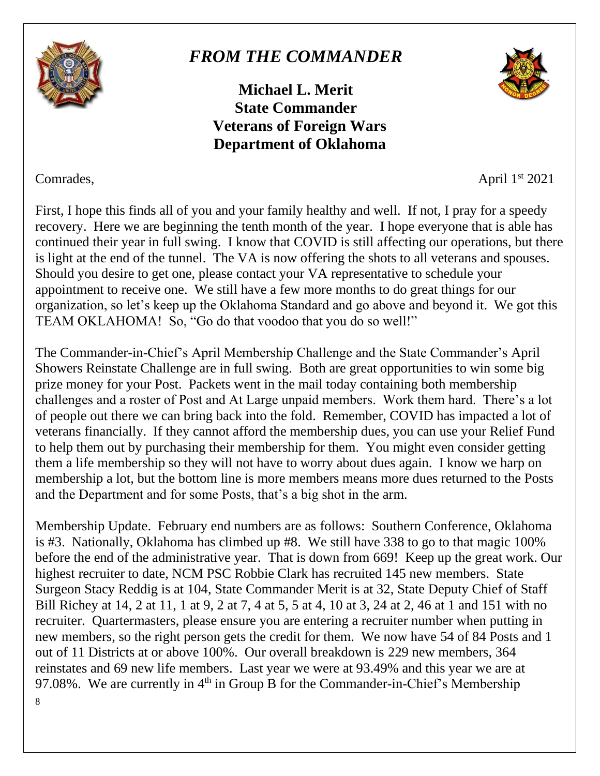

# *FROM THE COMMANDER*

**Michael L. Merit State Commander Veterans of Foreign Wars Department of Oklahoma**



Comrades, April 1<sup>st</sup> 2021

First, I hope this finds all of you and your family healthy and well. If not, I pray for a speedy recovery. Here we are beginning the tenth month of the year. I hope everyone that is able has continued their year in full swing. I know that COVID is still affecting our operations, but there is light at the end of the tunnel. The VA is now offering the shots to all veterans and spouses. Should you desire to get one, please contact your VA representative to schedule your appointment to receive one. We still have a few more months to do great things for our organization, so let's keep up the Oklahoma Standard and go above and beyond it. We got this TEAM OKLAHOMA! So, "Go do that voodoo that you do so well!"

The Commander-in-Chief's April Membership Challenge and the State Commander's April Showers Reinstate Challenge are in full swing. Both are great opportunities to win some big prize money for your Post. Packets went in the mail today containing both membership challenges and a roster of Post and At Large unpaid members. Work them hard. There's a lot of people out there we can bring back into the fold. Remember, COVID has impacted a lot of veterans financially. If they cannot afford the membership dues, you can use your Relief Fund to help them out by purchasing their membership for them. You might even consider getting them a life membership so they will not have to worry about dues again. I know we harp on membership a lot, but the bottom line is more members means more dues returned to the Posts and the Department and for some Posts, that's a big shot in the arm.

8 Membership Update. February end numbers are as follows: Southern Conference, Oklahoma is #3. Nationally, Oklahoma has climbed up #8. We still have 338 to go to that magic 100% before the end of the administrative year. That is down from 669! Keep up the great work. Our highest recruiter to date, NCM PSC Robbie Clark has recruited 145 new members. State Surgeon Stacy Reddig is at 104, State Commander Merit is at 32, State Deputy Chief of Staff Bill Richey at 14, 2 at 11, 1 at 9, 2 at 7, 4 at 5, 5 at 4, 10 at 3, 24 at 2, 46 at 1 and 151 with no recruiter. Quartermasters, please ensure you are entering a recruiter number when putting in new members, so the right person gets the credit for them. We now have 54 of 84 Posts and 1 out of 11 Districts at or above 100%. Our overall breakdown is 229 new members, 364 reinstates and 69 new life members. Last year we were at 93.49% and this year we are at 97.08%. We are currently in  $4<sup>th</sup>$  in Group B for the Commander-in-Chief's Membership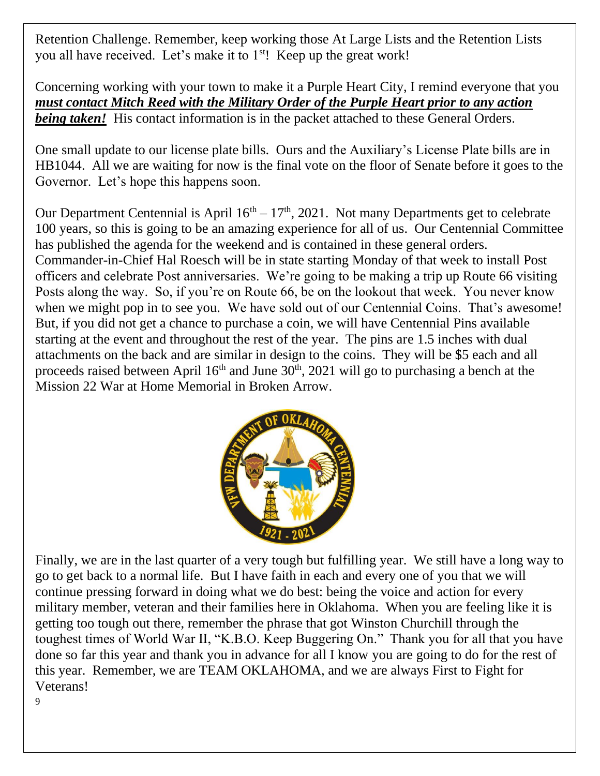Retention Challenge. Remember, keep working those At Large Lists and the Retention Lists you all have received. Let's make it to 1<sup>st</sup>! Keep up the great work!

Concerning working with your town to make it a Purple Heart City, I remind everyone that you *must contact Mitch Reed with the Military Order of the Purple Heart prior to any action being taken!* His contact information is in the packet attached to these General Orders.

One small update to our license plate bills. Ours and the Auxiliary's License Plate bills are in HB1044. All we are waiting for now is the final vote on the floor of Senate before it goes to the Governor. Let's hope this happens soon.

Our Department Centennial is April  $16<sup>th</sup> - 17<sup>th</sup>$ , 2021. Not many Departments get to celebrate 100 years, so this is going to be an amazing experience for all of us. Our Centennial Committee has published the agenda for the weekend and is contained in these general orders. Commander-in-Chief Hal Roesch will be in state starting Monday of that week to install Post officers and celebrate Post anniversaries. We're going to be making a trip up Route 66 visiting Posts along the way. So, if you're on Route 66, be on the lookout that week. You never know when we might pop in to see you. We have sold out of our Centennial Coins. That's awesome! But, if you did not get a chance to purchase a coin, we will have Centennial Pins available starting at the event and throughout the rest of the year. The pins are 1.5 inches with dual attachments on the back and are similar in design to the coins. They will be \$5 each and all proceeds raised between April  $16<sup>th</sup>$  and June  $30<sup>th</sup>$ ,  $2021$  will go to purchasing a bench at the Mission 22 War at Home Memorial in Broken Arrow.



Finally, we are in the last quarter of a very tough but fulfilling year. We still have a long way to go to get back to a normal life. But I have faith in each and every one of you that we will continue pressing forward in doing what we do best: being the voice and action for every military member, veteran and their families here in Oklahoma. When you are feeling like it is getting too tough out there, remember the phrase that got Winston Churchill through the toughest times of World War II, "K.B.O. Keep Buggering On." Thank you for all that you have done so far this year and thank you in advance for all I know you are going to do for the rest of this year. Remember, we are TEAM OKLAHOMA, and we are always First to Fight for Veterans!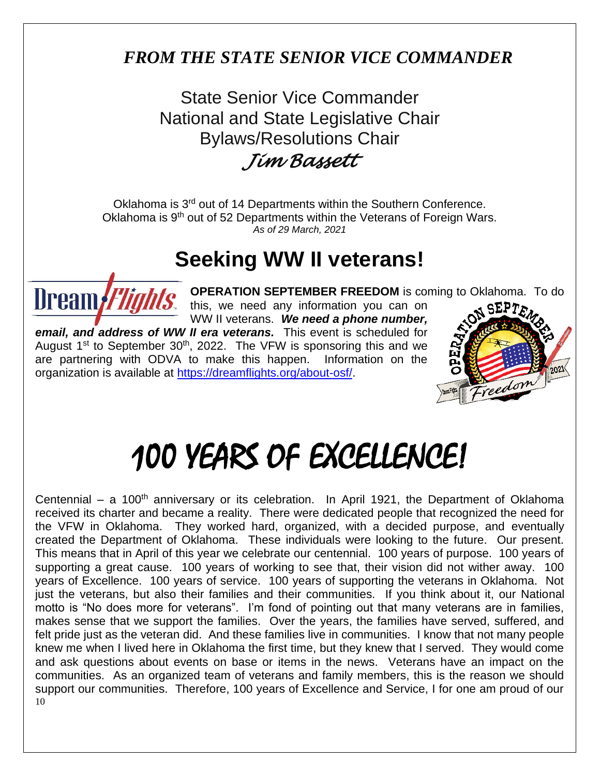# *FROM THE STATE SENIOR VICE COMMANDER*

State Senior Vice Commander National and State Legislative Chair Bylaws/Resolutions Chair

*Jim Bassett* 

Oklahoma is 3<sup>rd</sup> out of 14 Departments within the Southern Conference. Oklahoma is 9<sup>th</sup> out of 52 Departments within the Veterans of Foreign Wars. *As of 29 March, 2021*

# **Seeking WW II veterans!**



**OPERATION SEPTEMBER FREEDOM** is coming to Oklahoma. To do

this, we need any information you can on WW II veterans. *We need a phone number, email, and address of WW II era veterans.* This event is scheduled for August  $1^{st}$  to September 30<sup>th</sup>, 2022. The VFW is sponsoring this and we are partnering with ODVA to make this happen. Information on the organization is available at [https://dreamflights.org/about-osf/.](https://dreamflights.org/about-osf/)



# 100 YEARS OF EXCELLENCE!

10 Centennial – a 100<sup>th</sup> anniversary or its celebration. In April 1921, the Department of Oklahoma received its charter and became a reality. There were dedicated people that recognized the need for the VFW in Oklahoma. They worked hard, organized, with a decided purpose, and eventually created the Department of Oklahoma. These individuals were looking to the future. Our present. This means that in April of this year we celebrate our centennial. 100 years of purpose. 100 years of supporting a great cause. 100 years of working to see that, their vision did not wither away. 100 years of Excellence. 100 years of service. 100 years of supporting the veterans in Oklahoma. Not just the veterans, but also their families and their communities. If you think about it, our National motto is "No does more for veterans". I'm fond of pointing out that many veterans are in families, makes sense that we support the families. Over the years, the families have served, suffered, and felt pride just as the veteran did. And these families live in communities. I know that not many people knew me when I lived here in Oklahoma the first time, but they knew that I served. They would come and ask questions about events on base or items in the news. Veterans have an impact on the communities. As an organized team of veterans and family members, this is the reason we should support our communities. Therefore, 100 years of Excellence and Service, I for one am proud of our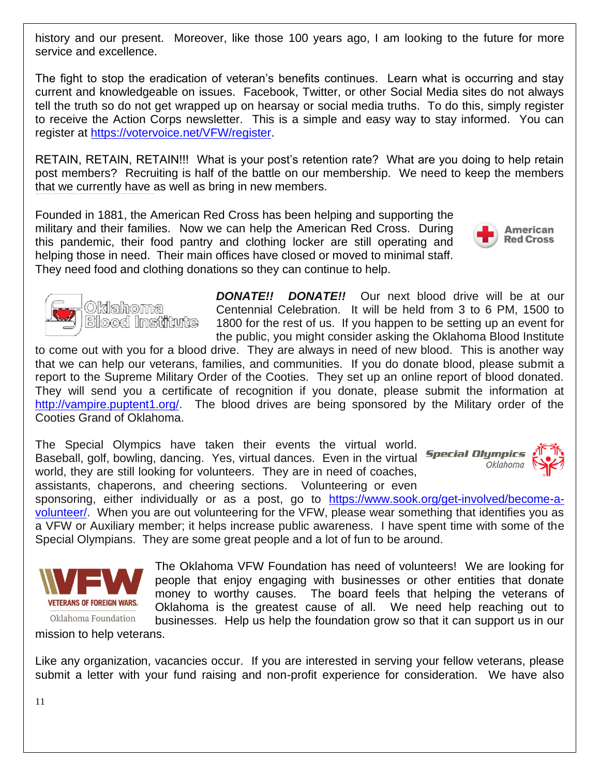history and our present. Moreover, like those 100 years ago, I am looking to the future for more service and excellence.

The fight to stop the eradication of veteran's benefits continues. Learn what is occurring and stay current and knowledgeable on issues. Facebook, Twitter, or other Social Media sites do not always tell the truth so do not get wrapped up on hearsay or social media truths. To do this, simply register to receive the Action Corps newsletter. This is a simple and easy way to stay informed. You can register at [https://votervoice.net/VFW/register.](https://votervoice.net/VFW/register)

RETAIN, RETAIN, RETAIN!!! What is your post's retention rate? What are you doing to help retain post members? Recruiting is half of the battle on our membership. We need to keep the members that we currently have as well as bring in new members.

Founded in 1881, the American Red Cross has been helping and supporting the military and their families. Now we can help the American Red Cross. During this pandemic, their food pantry and clothing locker are still operating and helping those in need. Their main offices have closed or moved to minimal staff. They need food and clothing donations so they can continue to help.



to come out with you for a blood drive. They are always in need of new blood. This is another way that we can help our veterans, families, and communities. If you do donate blood, please submit a report to the Supreme Military Order of the Cooties. They set up an online report of blood donated. They will send you a certificate of recognition if you donate, please submit the information at [http://vampire.puptent1.org/.](http://vampire.puptent1.org/) The blood drives are being sponsored by the Military order of the Cooties Grand of Oklahoma.

The Special Olympics have taken their events the virtual world. Baseball, golf, bowling, dancing. Yes, virtual dances. Even in the virtual **Special Olympics** world, they are still looking for volunteers. They are in need of coaches, assistants, chaperons, and cheering sections. Volunteering or even

sponsoring, either individually or as a post, go to [https://www.sook.org/get-involved/become-a](https://www.sook.org/get-involved/become-a-volunteer/)[volunteer/.](https://www.sook.org/get-involved/become-a-volunteer/) When you are out volunteering for the VFW, please wear something that identifies you as a VFW or Auxiliary member; it helps increase public awareness. I have spent time with some of the Special Olympians. They are some great people and a lot of fun to be around.

> The Oklahoma VFW Foundation has need of volunteers! We are looking for people that enjoy engaging with businesses or other entities that donate money to worthy causes. The board feels that helping the veterans of Oklahoma is the greatest cause of all. We need help reaching out to businesses. Help us help the foundation grow so that it can support us in our

Oklahoma Foundation mission to help veterans.

Like any organization, vacancies occur. If you are interested in serving your fellow veterans, please submit a letter with your fund raising and non-profit experience for consideration. We have also





Oklahoma

Blood Institute



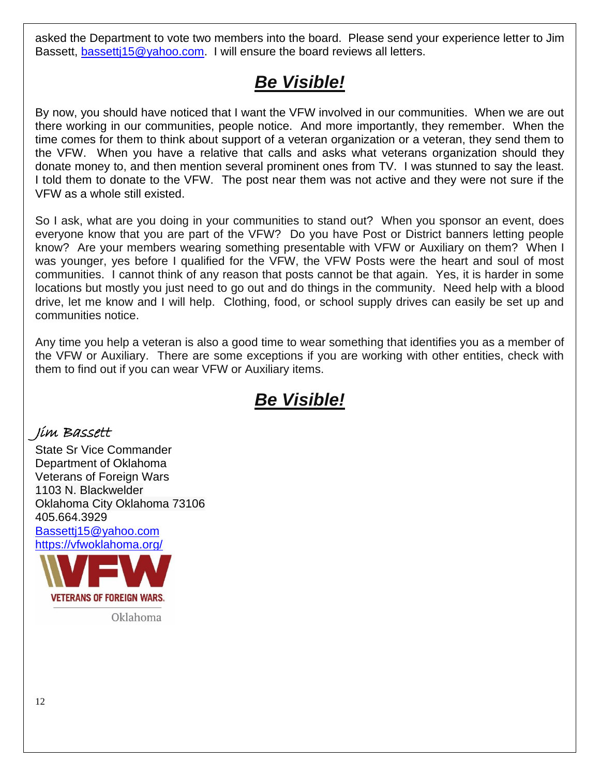asked the Department to vote two members into the board. Please send your experience letter to Jim Bassett, [bassettj15@yahoo.com.](mailto:bassettj15@yahoo.com) I will ensure the board reviews all letters.

# *Be Visible!*

By now, you should have noticed that I want the VFW involved in our communities. When we are out there working in our communities, people notice. And more importantly, they remember. When the time comes for them to think about support of a veteran organization or a veteran, they send them to the VFW. When you have a relative that calls and asks what veterans organization should they donate money to, and then mention several prominent ones from TV. I was stunned to say the least. I told them to donate to the VFW. The post near them was not active and they were not sure if the VFW as a whole still existed.

So I ask, what are you doing in your communities to stand out? When you sponsor an event, does everyone know that you are part of the VFW? Do you have Post or District banners letting people know? Are your members wearing something presentable with VFW or Auxiliary on them? When I was younger, yes before I qualified for the VFW, the VFW Posts were the heart and soul of most communities. I cannot think of any reason that posts cannot be that again. Yes, it is harder in some locations but mostly you just need to go out and do things in the community. Need help with a blood drive, let me know and I will help. Clothing, food, or school supply drives can easily be set up and communities notice.

Any time you help a veteran is also a good time to wear something that identifies you as a member of the VFW or Auxiliary. There are some exceptions if you are working with other entities, check with them to find out if you can wear VFW or Auxiliary items.

# *Be Visible!*

## Jim Bassett

State Sr Vice Commander Department of Oklahoma Veterans of Foreign Wars 1103 N. Blackwelder Oklahoma City Oklahoma 73106 405.664.3929 [Bassettj15@yahoo.com](mailto:Bassettj15@yahoo.com) <https://vfwoklahoma.org/>



Oklahoma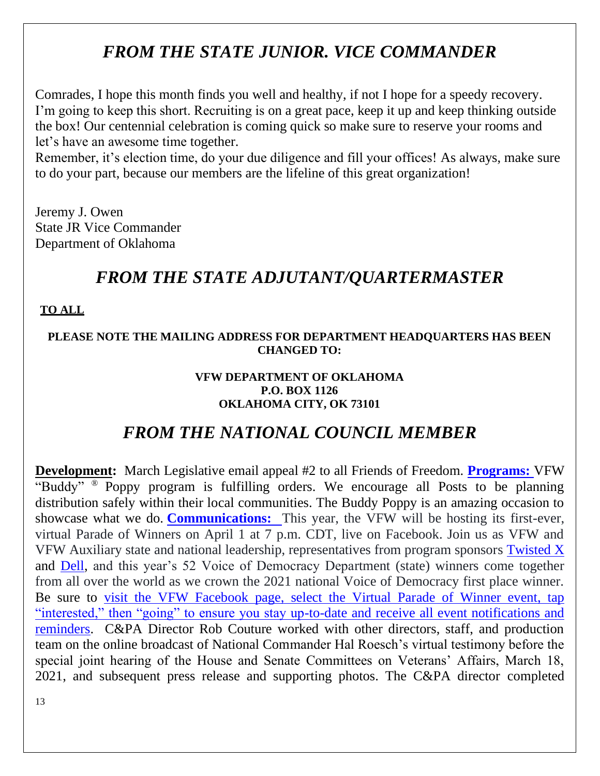# *FROM THE STATE JUNIOR. VICE COMMANDER*

Comrades, I hope this month finds you well and healthy, if not I hope for a speedy recovery. I'm going to keep this short. Recruiting is on a great pace, keep it up and keep thinking outside the box! Our centennial celebration is coming quick so make sure to reserve your rooms and let's have an awesome time together.

Remember, it's election time, do your due diligence and fill your offices! As always, make sure to do your part, because our members are the lifeline of this great organization!

Jeremy J. Owen State JR Vice Commander Department of Oklahoma

## *FROM THE STATE ADJUTANT/QUARTERMASTER*

#### **TO ALL**

#### **PLEASE NOTE THE MAILING ADDRESS FOR DEPARTMENT HEADQUARTERS HAS BEEN CHANGED TO:**

#### **VFW DEPARTMENT OF OKLAHOMA P.O. BOX 1126 OKLAHOMA CITY, OK 73101**

## *FROM THE NATIONAL COUNCIL MEMBER*

**Development:** March Legislative email appeal #2 to all Friends of Freedom. **Programs:** VFW "Buddy" ® Poppy program is fulfilling orders. We encourage all Posts to be planning distribution safely within their local communities. The Buddy Poppy is an amazing occasion to showcase what we do. **Communications:** This year, the VFW will be hosting its first-ever, virtual Parade of Winners on April 1 at 7 p.m. CDT, live on Facebook. Join us as VFW and VFW Auxiliary state and national leadership, representatives from program sponsors [Twisted X](https://www.facebook.com/twistedxofficial/) and [Dell,](https://www.facebook.com/Dell/) and this year's 52 Voice of Democracy Department (state) winners come together from all over the world as we crown the 2021 national Voice of Democracy first place winner. Be sure to [visit the VFW Facebook page, select the Virtual Parade of Winner event, tap](https://www.facebook.com/events/542331846731848/)  ["interested," then "going" to ensure you stay up-to-date and receive all event notifications and](https://www.facebook.com/events/542331846731848/)  [reminders.](https://www.facebook.com/events/542331846731848/) C&PA Director Rob Couture worked with other directors, staff, and production team on the online broadcast of National Commander Hal Roesch's virtual testimony before the special joint hearing of the House and Senate Committees on Veterans' Affairs, March 18, 2021, and subsequent press release and supporting photos. The C&PA director completed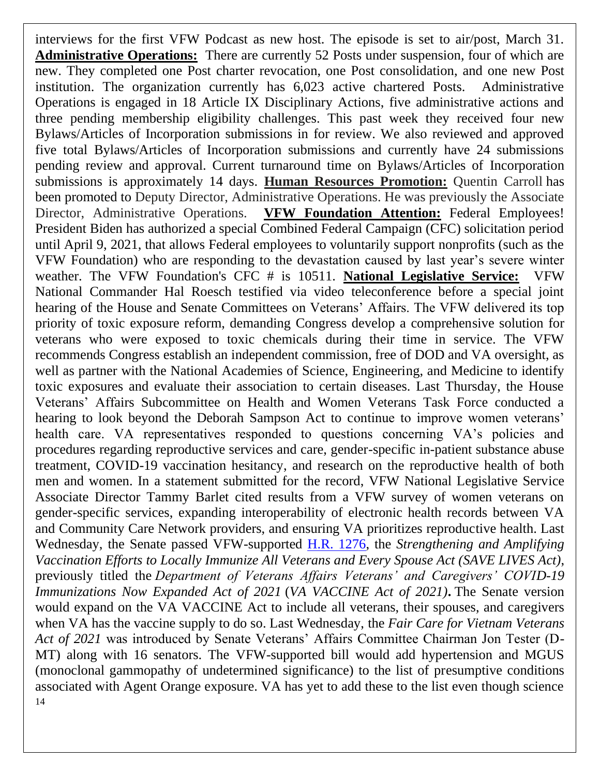14 interviews for the first VFW Podcast as new host. The episode is set to air/post, March 31. **Administrative Operations:** There are currently 52 Posts under suspension, four of which are new. They completed one Post charter revocation, one Post consolidation, and one new Post institution. The organization currently has 6,023 active chartered Posts. Administrative Operations is engaged in 18 Article IX Disciplinary Actions, five administrative actions and three pending membership eligibility challenges. This past week they received four new Bylaws/Articles of Incorporation submissions in for review. We also reviewed and approved five total Bylaws/Articles of Incorporation submissions and currently have 24 submissions pending review and approval. Current turnaround time on Bylaws/Articles of Incorporation submissions is approximately 14 days. **Human Resources Promotion:** Quentin Carroll has been promoted to Deputy Director, Administrative Operations. He was previously the Associate Director, Administrative Operations. **VFW Foundation Attention:** Federal Employees! President Biden has authorized a special Combined Federal Campaign (CFC) solicitation period until April 9, 2021, that allows Federal employees to voluntarily support nonprofits (such as the VFW Foundation) who are responding to the devastation caused by last year's severe winter weather. The VFW Foundation's CFC # is 10511. **National Legislative Service:** VFW National Commander Hal Roesch testified via video teleconference before a special joint hearing of the House and Senate Committees on Veterans' Affairs. The VFW delivered its top priority of toxic exposure reform, demanding Congress develop a comprehensive solution for veterans who were exposed to toxic chemicals during their time in service. The VFW recommends Congress establish an independent commission, free of DOD and VA oversight, as well as partner with the National Academies of Science, Engineering, and Medicine to identify toxic exposures and evaluate their association to certain diseases. Last Thursday, the House Veterans' Affairs Subcommittee on Health and Women Veterans Task Force conducted a hearing to look beyond the Deborah Sampson Act to continue to improve women veterans' health care. VA representatives responded to questions concerning VA's policies and procedures regarding reproductive services and care, gender-specific in-patient substance abuse treatment, COVID-19 vaccination hesitancy, and research on the reproductive health of both men and women. In a statement submitted for the record, VFW National Legislative Service Associate Director Tammy Barlet cited results from a VFW survey of women veterans on gender-specific services, expanding interoperability of electronic health records between VA and Community Care Network providers, and ensuring VA prioritizes reproductive health. Last Wednesday, the Senate passed VFW-supported [H.R. 1276,](https://www.congress.gov/bill/117th-congress/house-bill/1276/text?loclr=cga-bill) the *Strengthening and Amplifying Vaccination Efforts to Locally Immunize All Veterans and Every Spouse Act (SAVE LIVES Act)*, previously titled the *Department of Veterans Affairs Veterans' and Caregivers' COVID-19 Immunizations Now Expanded Act of 2021* (*VA VACCINE Act of 2021)***.** The Senate version would expand on the VA VACCINE Act to include all veterans, their spouses, and caregivers when VA has the vaccine supply to do so. Last Wednesday, the *Fair Care for Vietnam Veterans Act of 2021* was introduced by Senate Veterans' Affairs Committee Chairman Jon Tester (D-MT) along with 16 senators. The VFW-supported bill would add hypertension and MGUS (monoclonal gammopathy of undetermined significance) to the list of presumptive conditions associated with Agent Orange exposure. VA has yet to add these to the list even though science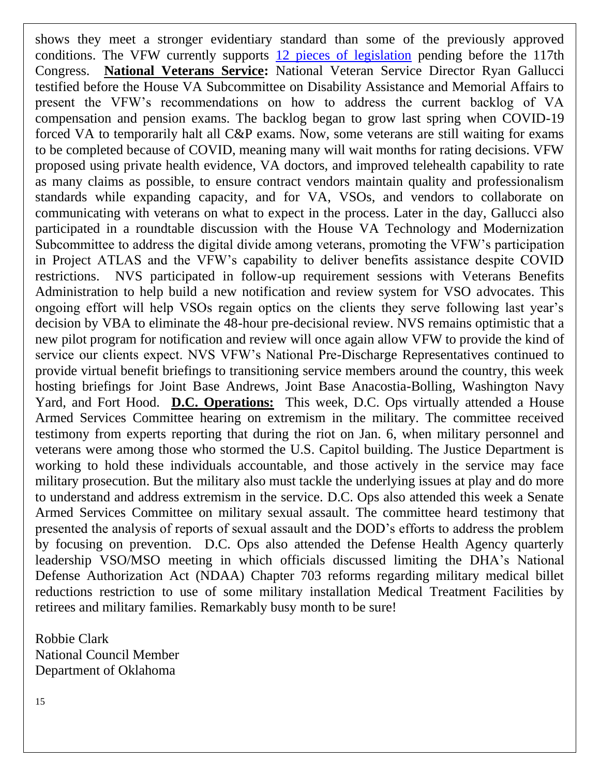shows they meet a stronger evidentiary standard than some of the previously approved conditions. The VFW currently supports [12 pieces of legislation](https://votervoice.net/VFW/bills) pending before the 117th Congress. **National Veterans Service:** National Veteran Service Director Ryan Gallucci testified before the House VA Subcommittee on Disability Assistance and Memorial Affairs to present the VFW's recommendations on how to address the current backlog of VA compensation and pension exams. The backlog began to grow last spring when COVID-19 forced VA to temporarily halt all C&P exams. Now, some veterans are still waiting for exams to be completed because of COVID, meaning many will wait months for rating decisions. VFW proposed using private health evidence, VA doctors, and improved telehealth capability to rate as many claims as possible, to ensure contract vendors maintain quality and professionalism standards while expanding capacity, and for VA, VSOs, and vendors to collaborate on communicating with veterans on what to expect in the process. Later in the day, Gallucci also participated in a roundtable discussion with the House VA Technology and Modernization Subcommittee to address the digital divide among veterans, promoting the VFW's participation in Project ATLAS and the VFW's capability to deliver benefits assistance despite COVID restrictions. NVS participated in follow-up requirement sessions with Veterans Benefits Administration to help build a new notification and review system for VSO advocates. This ongoing effort will help VSOs regain optics on the clients they serve following last year's decision by VBA to eliminate the 48-hour pre-decisional review. NVS remains optimistic that a new pilot program for notification and review will once again allow VFW to provide the kind of service our clients expect. NVS VFW's National Pre-Discharge Representatives continued to provide virtual benefit briefings to transitioning service members around the country, this week hosting briefings for Joint Base Andrews, Joint Base Anacostia-Bolling, Washington Navy Yard, and Fort Hood. **D.C. Operations:** This week, D.C. Ops virtually attended a House Armed Services Committee hearing on extremism in the military. The committee received testimony from experts reporting that during the riot on Jan. 6, when military personnel and veterans were among those who stormed the U.S. Capitol building. The Justice Department is working to hold these individuals accountable, and those actively in the service may face military prosecution. But the military also must tackle the underlying issues at play and do more to understand and address extremism in the service. D.C. Ops also attended this week a Senate Armed Services Committee on military sexual assault. The committee heard testimony that presented the analysis of reports of sexual assault and the DOD's efforts to address the problem by focusing on prevention. D.C. Ops also attended the Defense Health Agency quarterly leadership VSO/MSO meeting in which officials discussed limiting the DHA's National Defense Authorization Act (NDAA) Chapter 703 reforms regarding military medical billet reductions restriction to use of some military installation Medical Treatment Facilities by retirees and military families. Remarkably busy month to be sure!

Robbie Clark National Council Member Department of Oklahoma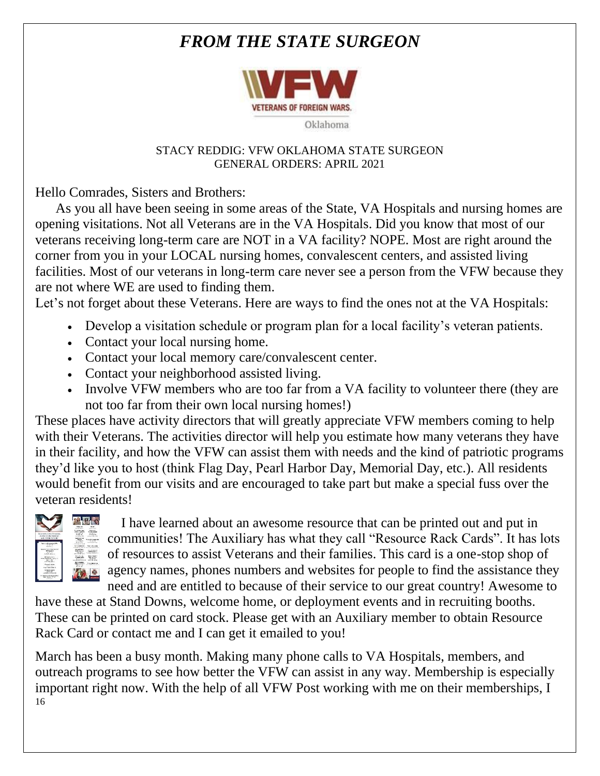# *FROM THE STATE SURGEON*



#### STACY REDDIG: VFW OKLAHOMA STATE SURGEON GENERAL ORDERS: APRIL 2021

Hello Comrades, Sisters and Brothers:

 As you all have been seeing in some areas of the State, VA Hospitals and nursing homes are opening visitations. Not all Veterans are in the VA Hospitals. Did you know that most of our veterans receiving long-term care are NOT in a VA facility? NOPE. Most are right around the corner from you in your LOCAL nursing homes, convalescent centers, and assisted living facilities. Most of our veterans in long-term care never see a person from the VFW because they are not where WE are used to finding them.

Let's not forget about these Veterans. Here are ways to find the ones not at the VA Hospitals:

- Develop a visitation schedule or program plan for a local facility's veteran patients.
- Contact your local nursing home.
- Contact your local memory care/convalescent center.
- Contact your neighborhood assisted living.
- Involve VFW members who are too far from a VA facility to volunteer there (they are not too far from their own local nursing homes!)

These places have activity directors that will greatly appreciate VFW members coming to help with their Veterans. The activities director will help you estimate how many veterans they have in their facility, and how the VFW can assist them with needs and the kind of patriotic programs they'd like you to host (think Flag Day, Pearl Harbor Day, Memorial Day, etc.). All residents would benefit from our visits and are encouraged to take part but make a special fuss over the veteran residents!



 I have learned about an awesome resource that can be printed out and put in communities! The Auxiliary has what they call "Resource Rack Cards". It has lots of resources to assist Veterans and their families. This card is a one-stop shop of agency names, phones numbers and websites for people to find the assistance they need and are entitled to because of their service to our great country! Awesome to

have these at Stand Downs, welcome home, or deployment events and in recruiting booths. These can be printed on card stock. Please get with an Auxiliary member to obtain Resource Rack Card or contact me and I can get it emailed to you!

16 March has been a busy month. Making many phone calls to VA Hospitals, members, and outreach programs to see how better the VFW can assist in any way. Membership is especially important right now. With the help of all VFW Post working with me on their memberships, I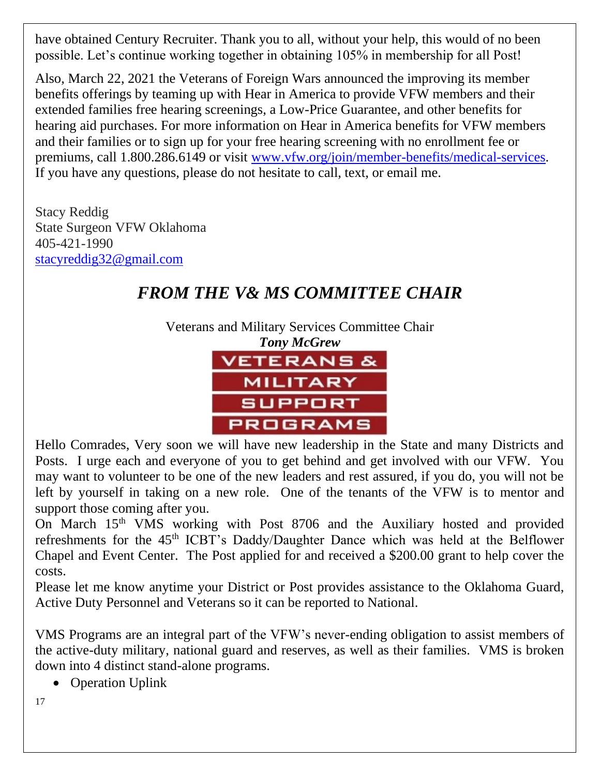have obtained Century Recruiter. Thank you to all, without your help, this would of no been possible. Let's continue working together in obtaining 105% in membership for all Post!

Also, March 22, 2021 the Veterans of Foreign Wars announced the improving its member benefits offerings by teaming up with Hear in America to provide VFW members and their extended families free hearing screenings, a Low-Price Guarantee, and other benefits for hearing aid purchases. For more information on Hear in America benefits for VFW members and their families or to sign up for your free hearing screening with no enrollment fee or premiums, call 1.800.286.6149 or visit [www.vfw.org/join/member-benefits/medical-services.](http://www.vfw.org/join/member-benefits/medical-services) If you have any questions, please do not hesitate to call, text, or email me.

Stacy Reddig State Surgeon VFW Oklahoma 405-421-1990 [stacyreddig32@gmail.com](mailto:stacyreddig32@gmail.com)

# *FROM THE V& MS COMMITTEE CHAIR*

Veterans and Military Services Committee Chair



Hello Comrades, Very soon we will have new leadership in the State and many Districts and Posts. I urge each and everyone of you to get behind and get involved with our VFW. You may want to volunteer to be one of the new leaders and rest assured, if you do, you will not be left by yourself in taking on a new role. One of the tenants of the VFW is to mentor and support those coming after you.

On March 15<sup>th</sup> VMS working with Post 8706 and the Auxiliary hosted and provided refreshments for the 45th ICBT's Daddy/Daughter Dance which was held at the Belflower Chapel and Event Center. The Post applied for and received a \$200.00 grant to help cover the costs.

Please let me know anytime your District or Post provides assistance to the Oklahoma Guard, Active Duty Personnel and Veterans so it can be reported to National.

VMS Programs are an integral part of the VFW's never-ending obligation to assist members of the active-duty military, national guard and reserves, as well as their families. VMS is broken down into 4 distinct stand-alone programs.

• Operation Uplink

17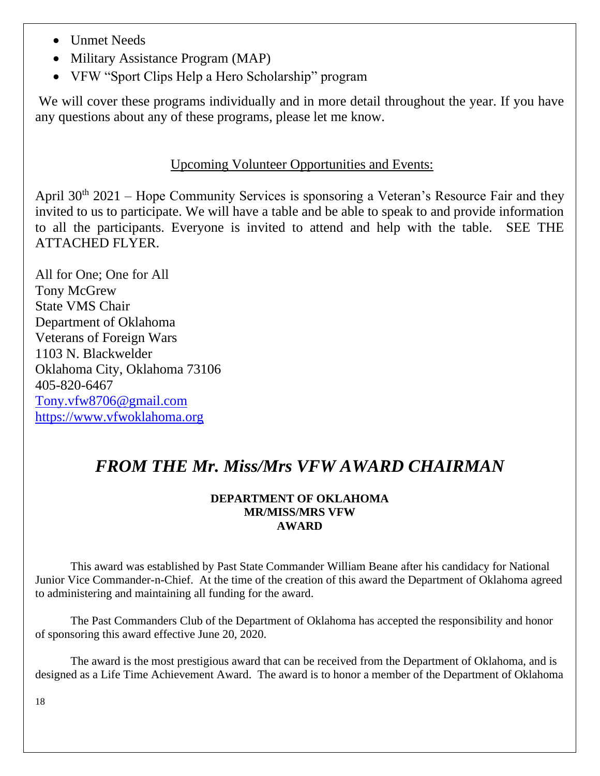- Unmet Needs
- Military Assistance Program (MAP)
- VFW "Sport Clips Help a Hero Scholarship" program

We will cover these programs individually and in more detail throughout the year. If you have any questions about any of these programs, please let me know.

## Upcoming Volunteer Opportunities and Events:

April  $30<sup>th</sup>$  2021 – Hope Community Services is sponsoring a Veteran's Resource Fair and they invited to us to participate. We will have a table and be able to speak to and provide information to all the participants. Everyone is invited to attend and help with the table. SEE THE ATTACHED FLYER.

All for One; One for All Tony McGrew State VMS Chair Department of Oklahoma Veterans of Foreign Wars 1103 N. Blackwelder Oklahoma City, Oklahoma 73106 405-820-6467 [Tony.vfw8706@gmail.com](mailto:Tony.vfw8706@gmail.com) [https://www.vfwoklahoma.org](https://www.vfwoklahoma.org/)

# *FROM THE Mr. Miss/Mrs VFW AWARD CHAIRMAN*

#### **DEPARTMENT OF OKLAHOMA MR/MISS/MRS VFW AWARD**

This award was established by Past State Commander William Beane after his candidacy for National Junior Vice Commander-n-Chief. At the time of the creation of this award the Department of Oklahoma agreed to administering and maintaining all funding for the award.

The Past Commanders Club of the Department of Oklahoma has accepted the responsibility and honor of sponsoring this award effective June 20, 2020.

The award is the most prestigious award that can be received from the Department of Oklahoma, and is designed as a Life Time Achievement Award. The award is to honor a member of the Department of Oklahoma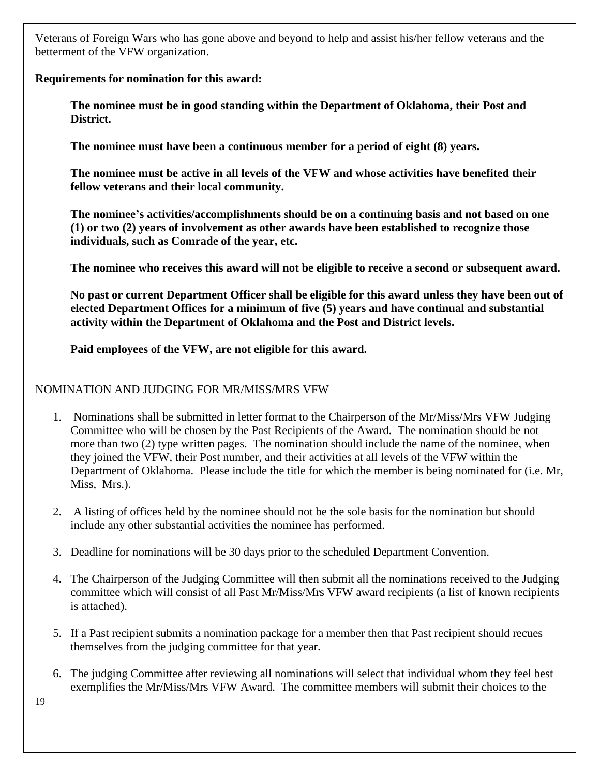Veterans of Foreign Wars who has gone above and beyond to help and assist his/her fellow veterans and the betterment of the VFW organization.

#### **Requirements for nomination for this award:**

**The nominee must be in good standing within the Department of Oklahoma, their Post and District.**

**The nominee must have been a continuous member for a period of eight (8) years.** 

**The nominee must be active in all levels of the VFW and whose activities have benefited their fellow veterans and their local community.**

**The nominee's activities/accomplishments should be on a continuing basis and not based on one (1) or two (2) years of involvement as other awards have been established to recognize those individuals, such as Comrade of the year, etc.**

**The nominee who receives this award will not be eligible to receive a second or subsequent award.**

**No past or current Department Officer shall be eligible for this award unless they have been out of elected Department Offices for a minimum of five (5) years and have continual and substantial activity within the Department of Oklahoma and the Post and District levels.**

**Paid employees of the VFW, are not eligible for this award.**

#### NOMINATION AND JUDGING FOR MR/MISS/MRS VFW

- 1. Nominations shall be submitted in letter format to the Chairperson of the Mr/Miss/Mrs VFW Judging Committee who will be chosen by the Past Recipients of the Award. The nomination should be not more than two (2) type written pages. The nomination should include the name of the nominee, when they joined the VFW, their Post number, and their activities at all levels of the VFW within the Department of Oklahoma. Please include the title for which the member is being nominated for (i.e. Mr, Miss, Mrs.).
- 2. A listing of offices held by the nominee should not be the sole basis for the nomination but should include any other substantial activities the nominee has performed.
- 3. Deadline for nominations will be 30 days prior to the scheduled Department Convention.
- 4. The Chairperson of the Judging Committee will then submit all the nominations received to the Judging committee which will consist of all Past Mr/Miss/Mrs VFW award recipients (a list of known recipients is attached).
- 5. If a Past recipient submits a nomination package for a member then that Past recipient should recues themselves from the judging committee for that year.
- 6. The judging Committee after reviewing all nominations will select that individual whom they feel best exemplifies the Mr/Miss/Mrs VFW Award. The committee members will submit their choices to the

19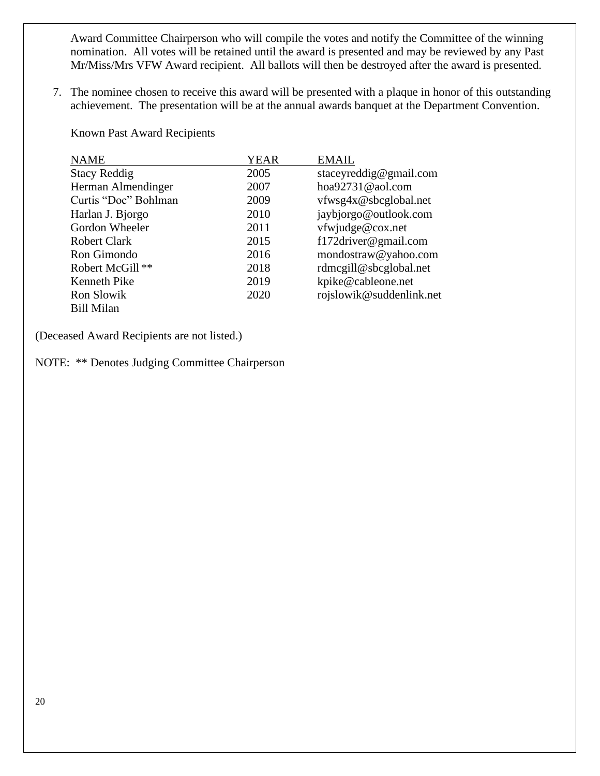Award Committee Chairperson who will compile the votes and notify the Committee of the winning nomination. All votes will be retained until the award is presented and may be reviewed by any Past Mr/Miss/Mrs VFW Award recipient. All ballots will then be destroyed after the award is presented.

7. The nominee chosen to receive this award will be presented with a plaque in honor of this outstanding achievement. The presentation will be at the annual awards banquet at the Department Convention.

Known Past Award Recipients

| <b>NAME</b>          | <b>YEAR</b> | <b>EMAIL</b>             |
|----------------------|-------------|--------------------------|
| <b>Stacy Reddig</b>  | 2005        | staceyreddig@gmail.com   |
| Herman Almendinger   | 2007        | hoa $92731@$ aol.com     |
| Curtis "Doc" Bohlman | 2009        | vfwsg4x@sbcglobal.net    |
| Harlan J. Bjorgo     | 2010        | jaybjorgo@outlook.com    |
| Gordon Wheeler       | 2011        | vfwjudge@cox.net         |
| <b>Robert Clark</b>  | 2015        | f172driver@gmail.com     |
| Ron Gimondo          | 2016        | mondostraw@yahoo.com     |
| Robert McGill**      | 2018        | rdmcgill@sbcglobal.net   |
| <b>Kenneth Pike</b>  | 2019        | kpike@cableone.net       |
| Ron Slowik           | 2020        | rojslowik@suddenlink.net |
| <b>Bill Milan</b>    |             |                          |

(Deceased Award Recipients are not listed.)

NOTE: \*\* Denotes Judging Committee Chairperson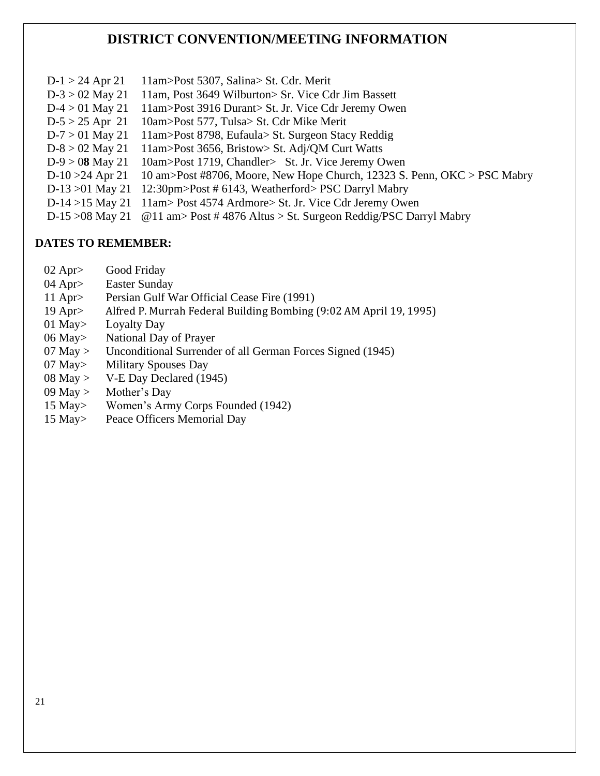### **DISTRICT CONVENTION/MEETING INFORMATION**

 D-1 > 24 Apr 21 11am>Post 5307, Salina> St. Cdr. Merit D-3 > 02 May 21 11am, Post 3649 Wilburton> Sr. Vice Cdr Jim Bassett D-4 > 01 May 21 11am>Post 3916 Durant> St. Jr. Vice Cdr Jeremy Owen D-5 > 25 Apr 21 10am>Post 577, Tulsa> St. Cdr Mike Merit D-7 > 01 May 21 11am>Post 8798, Eufaula> St. Surgeon Stacy Reddig D-8 > 02 May 21 11am>Post 3656, Bristow> St. Adj/QM Curt Watts D-9 > 0**8** May 21 10am>Post 1719, Chandler> St. Jr. Vice Jeremy Owen D-10 >24 Apr 21 10 am>Post #8706, Moore, New Hope Church, 12323 S. Penn, OKC > PSC Mabry D-13 >01 May 21 12:30pm>Post # 6143, Weatherford> PSC Darryl Mabry D-14 >15 May 21 11am> Post 4574 Ardmore> St. Jr. Vice Cdr Jeremy Owen D-15 >08 May 21 @11 am> Post # 4876 Altus > St. Surgeon Reddig/PSC Darryl Mabry

#### **DATES TO REMEMBER:**

- 02 Apr> Good Friday
- 04 Apr> Easter Sunday
- 11 Apr> Persian Gulf War Official Cease Fire (1991)
- 19 Apr> Alfred P. Murrah Federal Building Bombing (9:02 AM April 19, 1995)
- 01 May> Loyalty Day
- 06 May> National Day of Prayer
- 07 May > Unconditional Surrender of all German Forces Signed (1945)
- 07 May> Military Spouses Day
- 08 May > V-E Day Declared (1945)
- 09 May > Mother's Day
- 15 May> Women's Army Corps Founded (1942)
- 15 May> Peace Officers Memorial Day